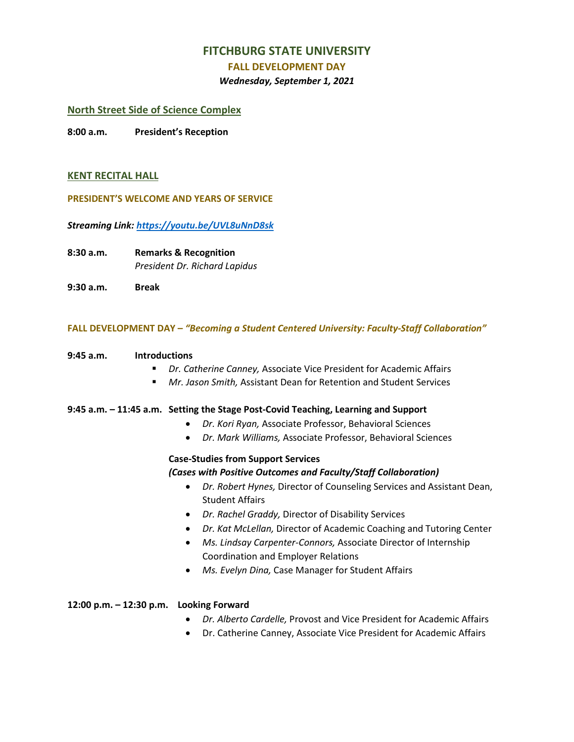## **FITCHBURG STATE UNIVERSITY**

#### **FALL DEVELOPMENT DAY**

#### *Wednesday, September 1, 2021*

### **North Street Side of Science Complex**

**8:00 a.m. President's Reception**

#### **KENT RECITAL HALL**

**PRESIDENT'S WELCOME AND YEARS OF SERVICE**

*Streaming Link[: https://youtu.be/UVL8uNnD8sk](https://youtu.be/UVL8uNnD8sk)*

**8:30 a.m. Remarks & Recognition** *President Dr. Richard Lapidus*

**9:30 a.m. Break**

#### **FALL DEVELOPMENT DAY –** *"Becoming a Student Centered University: Faculty-Staff Collaboration"*

#### **9:45 a.m. Introductions**

- *Dr. Catherine Canney,* Associate Vice President for Academic Affairs
- *Mr. Jason Smith,* Assistant Dean for Retention and Student Services

#### **9:45 a.m. – 11:45 a.m. Setting the Stage Post-Covid Teaching, Learning and Support**

- *Dr. Kori Ryan,* Associate Professor, Behavioral Sciences
- *Dr. Mark Williams,* Associate Professor, Behavioral Sciences

## **Case-Studies from Support Services**  *(Cases with Positive Outcomes and Faculty/Staff Collaboration)*

- *Dr. Robert Hynes,* Director of Counseling Services and Assistant Dean, Student Affairs
- *Dr. Rachel Graddy,* Director of Disability Services
- *Dr. Kat McLellan,* Director of Academic Coaching and Tutoring Center
- *Ms. Lindsay Carpenter-Connors,* Associate Director of Internship Coordination and Employer Relations
- *Ms. Evelyn Dina,* Case Manager for Student Affairs

#### **12:00 p.m. – 12:30 p.m. Looking Forward**

- *Dr. Alberto Cardelle,* Provost and Vice President for Academic Affairs
- Dr. Catherine Canney, Associate Vice President for Academic Affairs